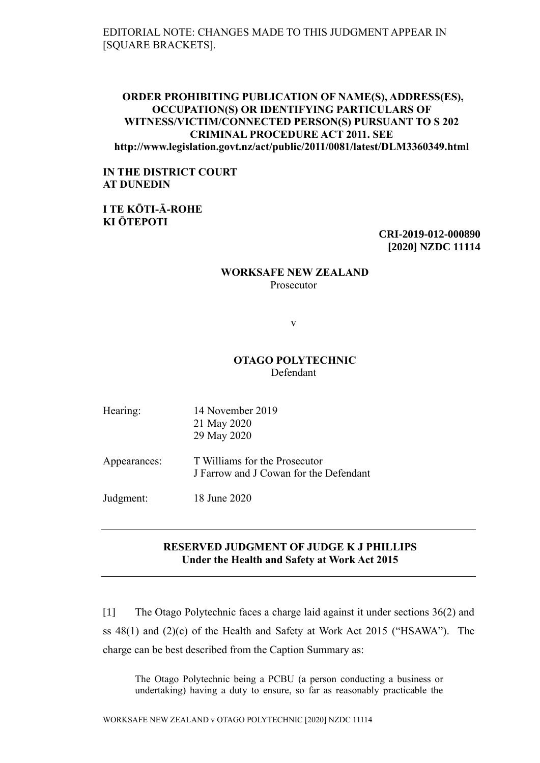EDITORIAL NOTE: CHANGES MADE TO THIS JUDGMENT APPEAR IN [SQUARE BRACKETS].

## **ORDER PROHIBITING PUBLICATION OF NAME(S), ADDRESS(ES), OCCUPATION(S) OR IDENTIFYING PARTICULARS OF WITNESS/VICTIM/CONNECTED PERSON(S) PURSUANT TO S 202 CRIMINAL PROCEDURE ACT 2011. SEE http://www.legislation.govt.nz/act/public/2011/0081/latest/DLM3360349.html**

# **IN THE DISTRICT COURT AT DUNEDIN**

**I TE KŌTI-Ā-ROHE KI ŌTEPOTI**

> **CRI-2019-012-000890 [2020] NZDC 11114**

#### **WORKSAFE NEW ZEALAND** Prosecutor

v

# **OTAGO POLYTECHNIC** Defendant

| Hearing:     | 14 November 2019<br>21 May 2020<br>29 May 2020                          |  |  |
|--------------|-------------------------------------------------------------------------|--|--|
| Appearances: | T Williams for the Prosecutor<br>J Farrow and J Cowan for the Defendant |  |  |
| Judgment:    | 18 June 2020                                                            |  |  |

# **RESERVED JUDGMENT OF JUDGE K J PHILLIPS Under the Health and Safety at Work Act 2015**

[1] The Otago Polytechnic faces a charge laid against it under sections 36(2) and ss 48(1) and (2)(c) of the Health and Safety at Work Act 2015 ("HSAWA"). The charge can be best described from the Caption Summary as:

The Otago Polytechnic being a PCBU (a person conducting a business or undertaking) having a duty to ensure, so far as reasonably practicable the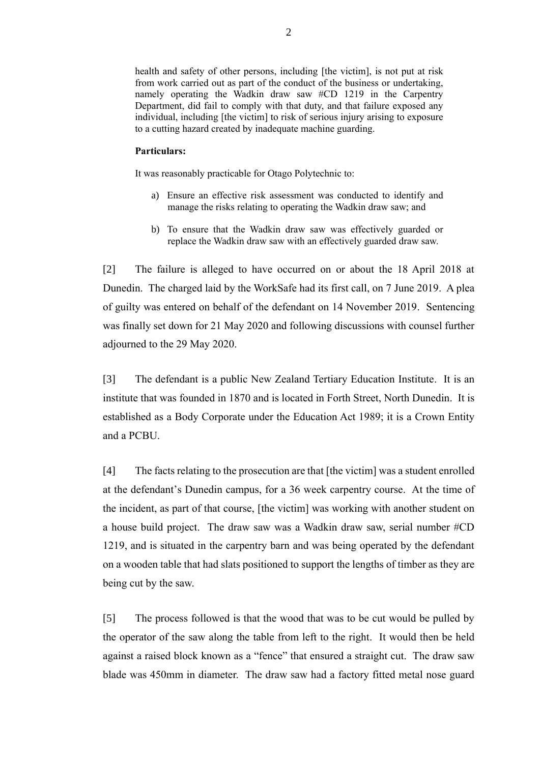health and safety of other persons, including [the victim], is not put at risk from work carried out as part of the conduct of the business or undertaking, namely operating the Wadkin draw saw #CD 1219 in the Carpentry Department, did fail to comply with that duty, and that failure exposed any individual, including [the victim] to risk of serious injury arising to exposure to a cutting hazard created by inadequate machine guarding.

#### **Particulars:**

It was reasonably practicable for Otago Polytechnic to:

- a) Ensure an effective risk assessment was conducted to identify and manage the risks relating to operating the Wadkin draw saw; and
- b) To ensure that the Wadkin draw saw was effectively guarded or replace the Wadkin draw saw with an effectively guarded draw saw.

[2] The failure is alleged to have occurred on or about the 18 April 2018 at Dunedin. The charged laid by the WorkSafe had its first call, on 7 June 2019. A plea of guilty was entered on behalf of the defendant on 14 November 2019. Sentencing was finally set down for 21 May 2020 and following discussions with counsel further adjourned to the 29 May 2020.

[3] The defendant is a public New Zealand Tertiary Education Institute. It is an institute that was founded in 1870 and is located in Forth Street, North Dunedin. It is established as a Body Corporate under the Education Act 1989; it is a Crown Entity and a PCBU.

[4] The facts relating to the prosecution are that [the victim] was a student enrolled at the defendant's Dunedin campus, for a 36 week carpentry course. At the time of the incident, as part of that course, [the victim] was working with another student on a house build project. The draw saw was a Wadkin draw saw, serial number #CD 1219, and is situated in the carpentry barn and was being operated by the defendant on a wooden table that had slats positioned to support the lengths of timber as they are being cut by the saw.

[5] The process followed is that the wood that was to be cut would be pulled by the operator of the saw along the table from left to the right. It would then be held against a raised block known as a "fence" that ensured a straight cut. The draw saw blade was 450mm in diameter. The draw saw had a factory fitted metal nose guard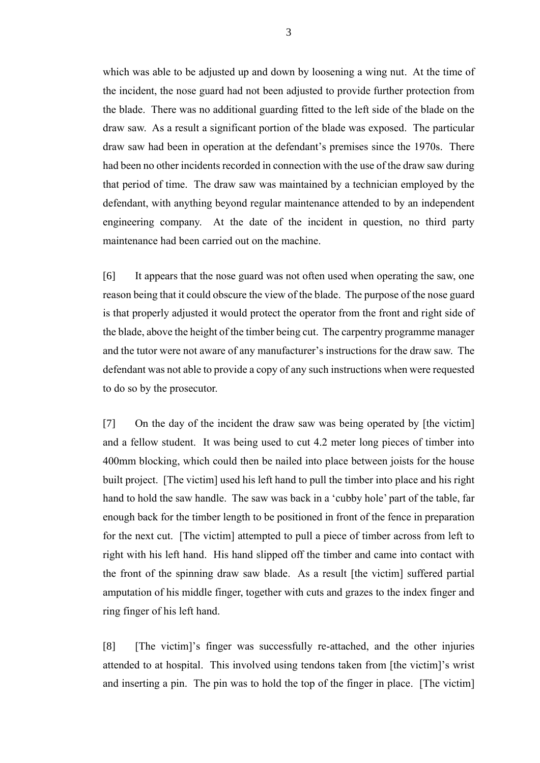which was able to be adjusted up and down by loosening a wing nut. At the time of the incident, the nose guard had not been adjusted to provide further protection from the blade. There was no additional guarding fitted to the left side of the blade on the draw saw. As a result a significant portion of the blade was exposed. The particular draw saw had been in operation at the defendant's premises since the 1970s. There had been no other incidents recorded in connection with the use of the draw saw during that period of time. The draw saw was maintained by a technician employed by the defendant, with anything beyond regular maintenance attended to by an independent engineering company. At the date of the incident in question, no third party maintenance had been carried out on the machine.

[6] It appears that the nose guard was not often used when operating the saw, one reason being that it could obscure the view of the blade. The purpose of the nose guard is that properly adjusted it would protect the operator from the front and right side of the blade, above the height of the timber being cut. The carpentry programme manager and the tutor were not aware of any manufacturer's instructions for the draw saw. The defendant was not able to provide a copy of any such instructions when were requested to do so by the prosecutor.

[7] On the day of the incident the draw saw was being operated by [the victim] and a fellow student. It was being used to cut 4.2 meter long pieces of timber into 400mm blocking, which could then be nailed into place between joists for the house built project. [The victim] used his left hand to pull the timber into place and his right hand to hold the saw handle. The saw was back in a 'cubby hole' part of the table, far enough back for the timber length to be positioned in front of the fence in preparation for the next cut. [The victim] attempted to pull a piece of timber across from left to right with his left hand. His hand slipped off the timber and came into contact with the front of the spinning draw saw blade. As a result [the victim] suffered partial amputation of his middle finger, together with cuts and grazes to the index finger and ring finger of his left hand.

[8] [The victim]'s finger was successfully re-attached, and the other injuries attended to at hospital. This involved using tendons taken from [the victim]'s wrist and inserting a pin. The pin was to hold the top of the finger in place. [The victim]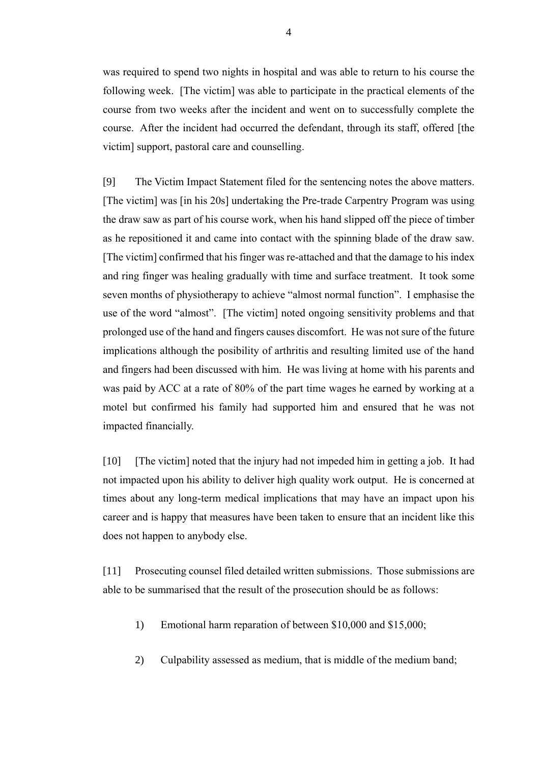was required to spend two nights in hospital and was able to return to his course the following week. [The victim] was able to participate in the practical elements of the course from two weeks after the incident and went on to successfully complete the course. After the incident had occurred the defendant, through its staff, offered [the victim] support, pastoral care and counselling.

[9] The Victim Impact Statement filed for the sentencing notes the above matters. [The victim] was [in his 20s] undertaking the Pre-trade Carpentry Program was using the draw saw as part of his course work, when his hand slipped off the piece of timber as he repositioned it and came into contact with the spinning blade of the draw saw. [The victim] confirmed that his finger was re-attached and that the damage to his index and ring finger was healing gradually with time and surface treatment. It took some seven months of physiotherapy to achieve "almost normal function". I emphasise the use of the word "almost". [The victim] noted ongoing sensitivity problems and that prolonged use of the hand and fingers causes discomfort. He was not sure of the future implications although the posibility of arthritis and resulting limited use of the hand and fingers had been discussed with him. He was living at home with his parents and was paid by ACC at a rate of 80% of the part time wages he earned by working at a motel but confirmed his family had supported him and ensured that he was not impacted financially.

[10] [The victim] noted that the injury had not impeded him in getting a job. It had not impacted upon his ability to deliver high quality work output. He is concerned at times about any long-term medical implications that may have an impact upon his career and is happy that measures have been taken to ensure that an incident like this does not happen to anybody else.

[11] Prosecuting counsel filed detailed written submissions. Those submissions are able to be summarised that the result of the prosecution should be as follows:

- 1) Emotional harm reparation of between \$10,000 and \$15,000;
- 2) Culpability assessed as medium, that is middle of the medium band;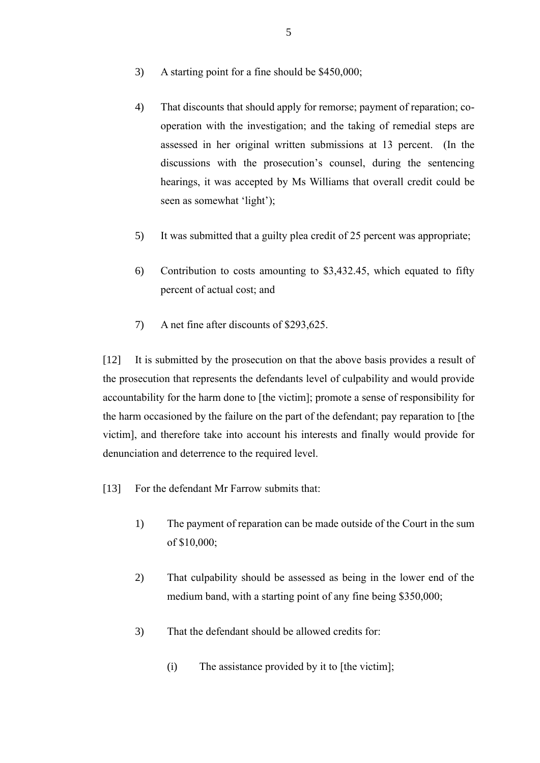- 3) A starting point for a fine should be \$450,000;
- 4) That discounts that should apply for remorse; payment of reparation; cooperation with the investigation; and the taking of remedial steps are assessed in her original written submissions at 13 percent. (In the discussions with the prosecution's counsel, during the sentencing hearings, it was accepted by Ms Williams that overall credit could be seen as somewhat 'light');
- 5) It was submitted that a guilty plea credit of 25 percent was appropriate;
- 6) Contribution to costs amounting to \$3,432.45, which equated to fifty percent of actual cost; and
- 7) A net fine after discounts of \$293,625.

[12] It is submitted by the prosecution on that the above basis provides a result of the prosecution that represents the defendants level of culpability and would provide accountability for the harm done to [the victim]; promote a sense of responsibility for the harm occasioned by the failure on the part of the defendant; pay reparation to [the victim], and therefore take into account his interests and finally would provide for denunciation and deterrence to the required level.

- [13] For the defendant Mr Farrow submits that:
	- 1) The payment of reparation can be made outside of the Court in the sum of \$10,000;
	- 2) That culpability should be assessed as being in the lower end of the medium band, with a starting point of any fine being \$350,000;
	- 3) That the defendant should be allowed credits for:
		- (i) The assistance provided by it to [the victim];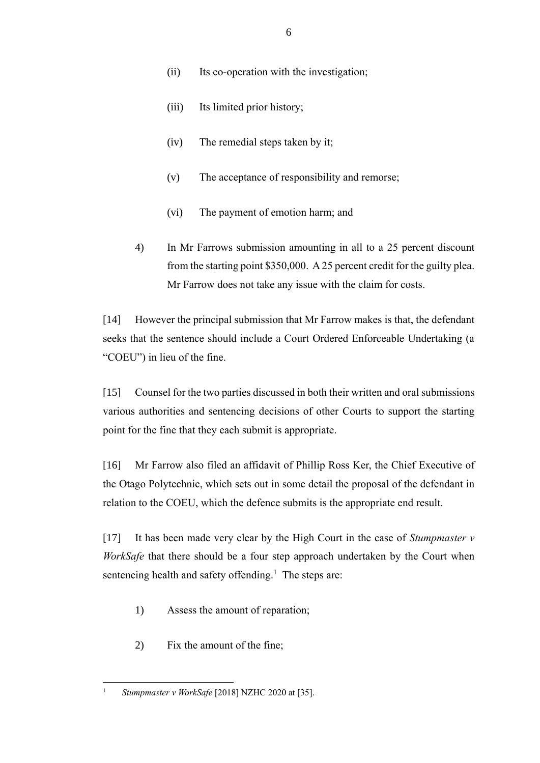- (ii) Its co-operation with the investigation;
- (iii) Its limited prior history;
- (iv) The remedial steps taken by it;
- (v) The acceptance of responsibility and remorse;
- (vi) The payment of emotion harm; and
- 4) In Mr Farrows submission amounting in all to a 25 percent discount from the starting point \$350,000. A 25 percent credit for the guilty plea. Mr Farrow does not take any issue with the claim for costs.

[14] However the principal submission that Mr Farrow makes is that, the defendant seeks that the sentence should include a Court Ordered Enforceable Undertaking (a "COEU") in lieu of the fine.

[15] Counsel for the two parties discussed in both their written and oral submissions various authorities and sentencing decisions of other Courts to support the starting point for the fine that they each submit is appropriate.

[16] Mr Farrow also filed an affidavit of Phillip Ross Ker, the Chief Executive of the Otago Polytechnic, which sets out in some detail the proposal of the defendant in relation to the COEU, which the defence submits is the appropriate end result.

[17] It has been made very clear by the High Court in the case of *Stumpmaster v WorkSafe* that there should be a four step approach undertaken by the Court when sentencing health and safety offending.<sup>1</sup> The steps are:

- 1) Assess the amount of reparation;
- 2) Fix the amount of the fine;

 $\overline{a}$ <sup>1</sup> *Stumpmaster v WorkSafe* [2018] NZHC 2020 at [35].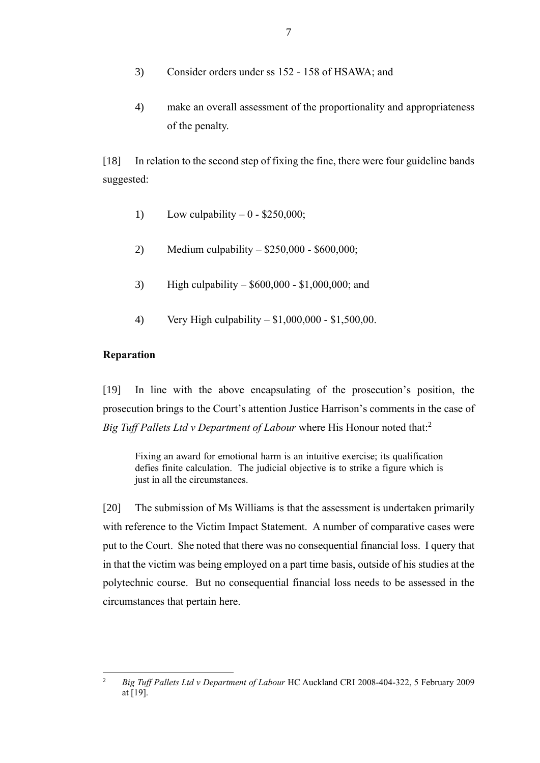- 3) Consider orders under ss 152 158 of HSAWA; and
- 4) make an overall assessment of the proportionality and appropriateness of the penalty.

[18] In relation to the second step of fixing the fine, there were four guideline bands suggested:

- 1) Low culpability  $-0$  \$250,000;
- 2) Medium culpability \$250,000 \$600,000;
- 3) High culpability \$600,000 \$1,000,000; and
- 4) Very High culpability \$1,000,000 \$1,500,00.

### **Reparation**

[19] In line with the above encapsulating of the prosecution's position, the prosecution brings to the Court's attention Justice Harrison's comments in the case of *Big Tuff Pallets Ltd v Department of Labour* where His Honour noted that:<sup>2</sup>

Fixing an award for emotional harm is an intuitive exercise; its qualification defies finite calculation. The judicial objective is to strike a figure which is just in all the circumstances.

[20] The submission of Ms Williams is that the assessment is undertaken primarily with reference to the Victim Impact Statement. A number of comparative cases were put to the Court. She noted that there was no consequential financial loss. I query that in that the victim was being employed on a part time basis, outside of his studies at the polytechnic course. But no consequential financial loss needs to be assessed in the circumstances that pertain here.

 $\overline{c}$ <sup>2</sup> *Big Tuff Pallets Ltd v Department of Labour* HC Auckland CRI 2008-404-322, 5 February 2009 at  $\overline{[19]}$ .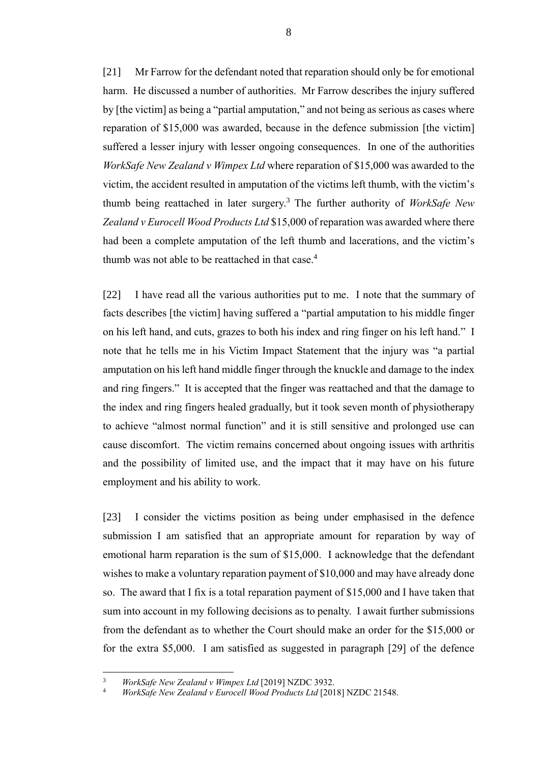[21] Mr Farrow for the defendant noted that reparation should only be for emotional harm. He discussed a number of authorities. Mr Farrow describes the injury suffered by [the victim] as being a "partial amputation," and not being as serious as cases where reparation of \$15,000 was awarded, because in the defence submission [the victim] suffered a lesser injury with lesser ongoing consequences. In one of the authorities *WorkSafe New Zealand v Wimpex Ltd* where reparation of \$15,000 was awarded to the victim, the accident resulted in amputation of the victims left thumb, with the victim's thumb being reattached in later surgery.<sup>3</sup> The further authority of *WorkSafe New Zealand v Eurocell Wood Products Ltd* \$15,000 of reparation was awarded where there had been a complete amputation of the left thumb and lacerations, and the victim's thumb was not able to be reattached in that case.<sup>4</sup>

[22] I have read all the various authorities put to me. I note that the summary of facts describes [the victim] having suffered a "partial amputation to his middle finger on his left hand, and cuts, grazes to both his index and ring finger on his left hand." I note that he tells me in his Victim Impact Statement that the injury was "a partial amputation on his left hand middle finger through the knuckle and damage to the index and ring fingers." It is accepted that the finger was reattached and that the damage to the index and ring fingers healed gradually, but it took seven month of physiotherapy to achieve "almost normal function" and it is still sensitive and prolonged use can cause discomfort. The victim remains concerned about ongoing issues with arthritis and the possibility of limited use, and the impact that it may have on his future employment and his ability to work.

[23] I consider the victims position as being under emphasised in the defence submission I am satisfied that an appropriate amount for reparation by way of emotional harm reparation is the sum of \$15,000. I acknowledge that the defendant wishes to make a voluntary reparation payment of \$10,000 and may have already done so. The award that I fix is a total reparation payment of \$15,000 and I have taken that sum into account in my following decisions as to penalty. I await further submissions from the defendant as to whether the Court should make an order for the \$15,000 or for the extra \$5,000. I am satisfied as suggested in paragraph [29] of the defence

 $\overline{3}$ <sup>3</sup> *WorkSafe New Zealand v Wimpex Ltd* [2019] NZDC 3932.

<sup>4</sup> *WorkSafe New Zealand v Eurocell Wood Products Ltd* [2018] NZDC 21548.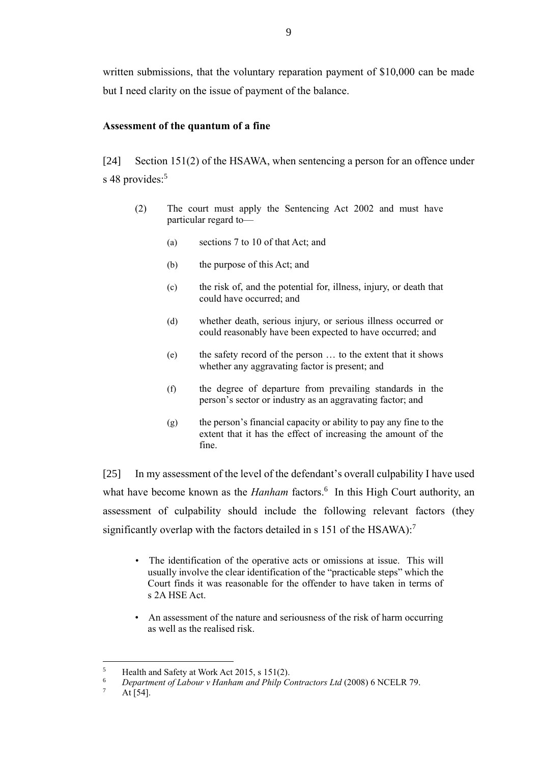written submissions, that the voluntary reparation payment of \$10,000 can be made but I need clarity on the issue of payment of the balance.

# **Assessment of the quantum of a fine**

[24] Section 151(2) of the HSAWA, when sentencing a person for an offence under s 48 provides:<sup>5</sup>

- (2) The court must apply the Sentencing Act 2002 and must have particular regard to—
	- (a) sections 7 to 10 of that Act; and
	- (b) the purpose of this Act; and
	- (c) the risk of, and the potential for, illness, injury, or death that could have occurred; and
	- (d) whether death, serious injury, or serious illness occurred or could reasonably have been expected to have occurred; and
	- (e) the safety record of the person … to the extent that it shows whether any aggravating factor is present; and
	- (f) the degree of departure from prevailing standards in the person's sector or industry as an aggravating factor; and
	- $(g)$  the person's financial capacity or ability to pay any fine to the extent that it has the effect of increasing the amount of the fine.

[25] In my assessment of the level of the defendant's overall culpability I have used what have become known as the *Hanham* factors.<sup>6</sup> In this High Court authority, an assessment of culpability should include the following relevant factors (they significantly overlap with the factors detailed in s 151 of the HSAWA):<sup>7</sup>

- The identification of the operative acts or omissions at issue. This will usually involve the clear identification of the "practicable steps" which the Court finds it was reasonable for the offender to have taken in terms of s 2A HSE Act.
- An assessment of the nature and seriousness of the risk of harm occurring as well as the realised risk.

<sup>&</sup>lt;sup>5</sup> Health and Safety at Work Act 2015, s 151(2).<br> $\frac{6}{2}$  Department of Labour v Hapkam and Philp Co

<sup>6</sup> *Department of Labour v Hanham and Philp Contractors Ltd* (2008) 6 NCELR 79.

At  $[54]$ .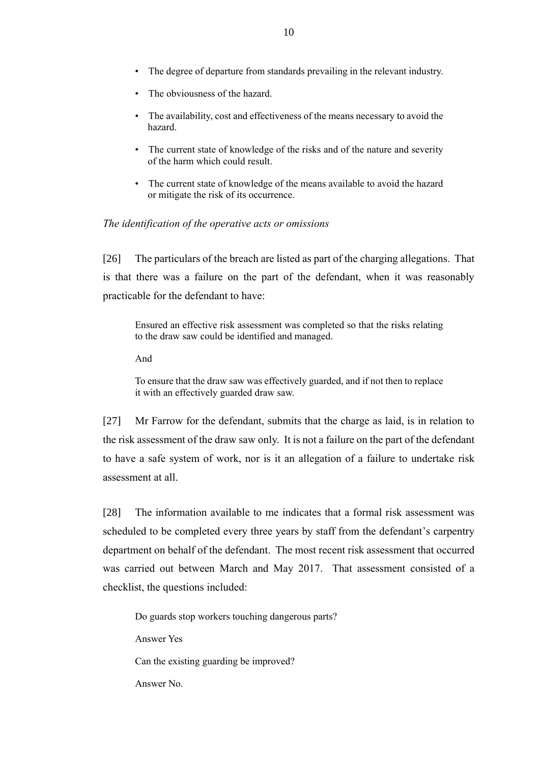- The degree of departure from standards prevailing in the relevant industry.
- The obviousness of the hazard.
- The availability, cost and effectiveness of the means necessary to avoid the hazard.
- The current state of knowledge of the risks and of the nature and severity of the harm which could result.
- The current state of knowledge of the means available to avoid the hazard or mitigate the risk of its occurrence.

### *The identification of the operative acts or omissions*

[26] The particulars of the breach are listed as part of the charging allegations. That is that there was a failure on the part of the defendant, when it was reasonably practicable for the defendant to have:

Ensured an effective risk assessment was completed so that the risks relating to the draw saw could be identified and managed.

And

To ensure that the draw saw was effectively guarded, and if not then to replace it with an effectively guarded draw saw.

[27] Mr Farrow for the defendant, submits that the charge as laid, is in relation to the risk assessment of the draw saw only. It is not a failure on the part of the defendant to have a safe system of work, nor is it an allegation of a failure to undertake risk assessment at all.

[28] The information available to me indicates that a formal risk assessment was scheduled to be completed every three years by staff from the defendant's carpentry department on behalf of the defendant. The most recent risk assessment that occurred was carried out between March and May 2017. That assessment consisted of a checklist, the questions included:

Do guards stop workers touching dangerous parts?

Answer Yes

Can the existing guarding be improved?

Answer No.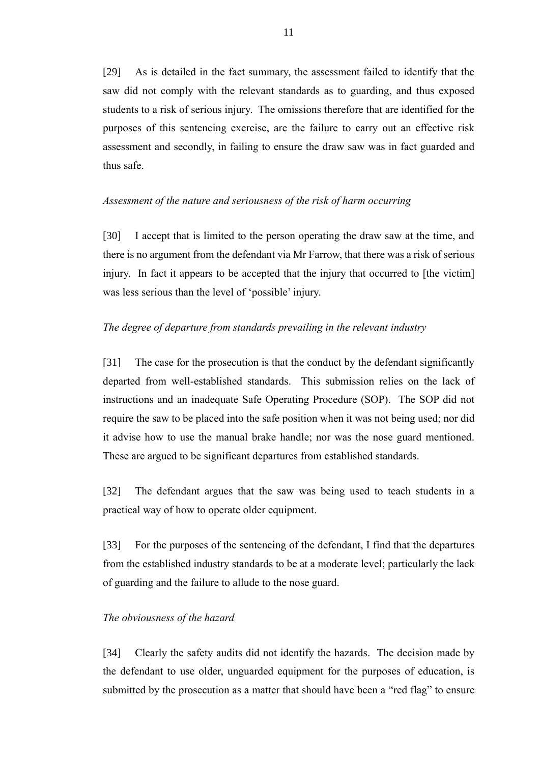[29] As is detailed in the fact summary, the assessment failed to identify that the saw did not comply with the relevant standards as to guarding, and thus exposed students to a risk of serious injury. The omissions therefore that are identified for the purposes of this sentencing exercise, are the failure to carry out an effective risk assessment and secondly, in failing to ensure the draw saw was in fact guarded and thus safe.

### *Assessment of the nature and seriousness of the risk of harm occurring*

[30] I accept that is limited to the person operating the draw saw at the time, and there is no argument from the defendant via Mr Farrow, that there was a risk of serious injury. In fact it appears to be accepted that the injury that occurred to [the victim] was less serious than the level of 'possible' injury.

### *The degree of departure from standards prevailing in the relevant industry*

[31] The case for the prosecution is that the conduct by the defendant significantly departed from well-established standards. This submission relies on the lack of instructions and an inadequate Safe Operating Procedure (SOP). The SOP did not require the saw to be placed into the safe position when it was not being used; nor did it advise how to use the manual brake handle; nor was the nose guard mentioned. These are argued to be significant departures from established standards.

[32] The defendant argues that the saw was being used to teach students in a practical way of how to operate older equipment.

[33] For the purposes of the sentencing of the defendant, I find that the departures from the established industry standards to be at a moderate level; particularly the lack of guarding and the failure to allude to the nose guard.

#### *The obviousness of the hazard*

[34] Clearly the safety audits did not identify the hazards. The decision made by the defendant to use older, unguarded equipment for the purposes of education, is submitted by the prosecution as a matter that should have been a "red flag" to ensure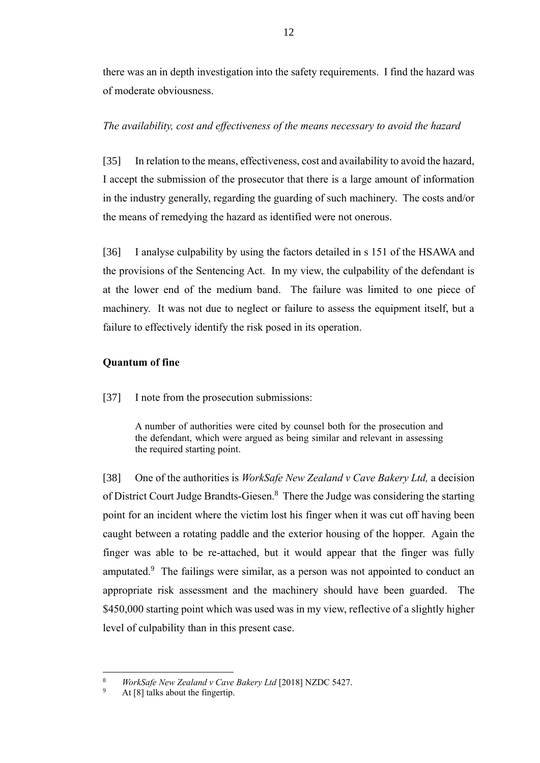there was an in depth investigation into the safety requirements. I find the hazard was of moderate obviousness.

# *The availability, cost and effectiveness of the means necessary to avoid the hazard*

[35] In relation to the means, effectiveness, cost and availability to avoid the hazard, I accept the submission of the prosecutor that there is a large amount of information in the industry generally, regarding the guarding of such machinery. The costs and/or the means of remedying the hazard as identified were not onerous.

[36] I analyse culpability by using the factors detailed in s 151 of the HSAWA and the provisions of the Sentencing Act. In my view, the culpability of the defendant is at the lower end of the medium band. The failure was limited to one piece of machinery. It was not due to neglect or failure to assess the equipment itself, but a failure to effectively identify the risk posed in its operation.

# **Quantum of fine**

[37] I note from the prosecution submissions:

A number of authorities were cited by counsel both for the prosecution and the defendant, which were argued as being similar and relevant in assessing the required starting point.

[38] One of the authorities is *WorkSafe New Zealand v Cave Bakery Ltd,* a decision of District Court Judge Brandts-Giesen.<sup>8</sup> There the Judge was considering the starting point for an incident where the victim lost his finger when it was cut off having been caught between a rotating paddle and the exterior housing of the hopper. Again the finger was able to be re-attached, but it would appear that the finger was fully amputated.<sup>9</sup> The failings were similar, as a person was not appointed to conduct an appropriate risk assessment and the machinery should have been guarded. The \$450,000 starting point which was used was in my view, reflective of a slightly higher level of culpability than in this present case.

<sup>8</sup> *WorkSafe New Zealand v Cave Bakery Ltd* [2018] NZDC 5427.

At  $[8]$  talks about the fingertip.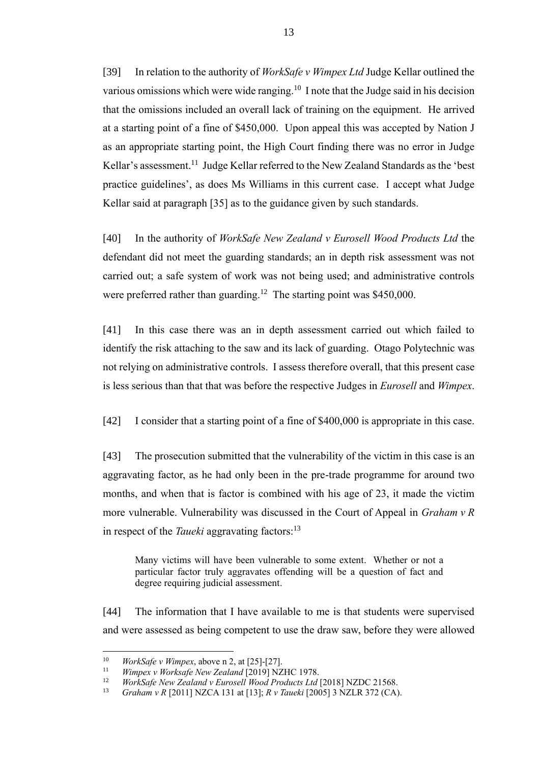[39] In relation to the authority of *WorkSafe v Wimpex Ltd* Judge Kellar outlined the various omissions which were wide ranging.<sup>10</sup> I note that the Judge said in his decision that the omissions included an overall lack of training on the equipment. He arrived at a starting point of a fine of \$450,000. Upon appeal this was accepted by Nation J as an appropriate starting point, the High Court finding there was no error in Judge Kellar's assessment.<sup>11</sup> Judge Kellar referred to the New Zealand Standards as the 'best practice guidelines', as does Ms Williams in this current case. I accept what Judge Kellar said at paragraph [35] as to the guidance given by such standards.

[40] In the authority of *WorkSafe New Zealand v Eurosell Wood Products Ltd* the defendant did not meet the guarding standards; an in depth risk assessment was not carried out; a safe system of work was not being used; and administrative controls were preferred rather than guarding.<sup>12</sup> The starting point was \$450,000.

[41] In this case there was an in depth assessment carried out which failed to identify the risk attaching to the saw and its lack of guarding. Otago Polytechnic was not relying on administrative controls. I assess therefore overall, that this present case is less serious than that that was before the respective Judges in *Eurosell* and *Wimpex*.

[42] I consider that a starting point of a fine of \$400,000 is appropriate in this case.

[43] The prosecution submitted that the vulnerability of the victim in this case is an aggravating factor, as he had only been in the pre-trade programme for around two months, and when that is factor is combined with his age of 23, it made the victim more vulnerable. Vulnerability was discussed in the Court of Appeal in *Graham v R* in respect of the *Taueki* aggravating factors:<sup>13</sup>

Many victims will have been vulnerable to some extent. Whether or not a particular factor truly aggravates offending will be a question of fact and degree requiring judicial assessment.

[44] The information that I have available to me is that students were supervised and were assessed as being competent to use the draw saw, before they were allowed

 $10$ <sup>10</sup> *WorkSafe v Wimpex*, above n 2, at [25]-[27].

<sup>11</sup> *Wimpex v Worksafe New Zealand* [2019] NZHC 1978.

<sup>12</sup> *WorkSafe New Zealand v Eurosell Wood Products Ltd* [2018] NZDC 21568.

<sup>13</sup> *Graham v R* [2011] NZCA 131 at [13]; *R v Taueki* [2005] 3 NZLR 372 (CA).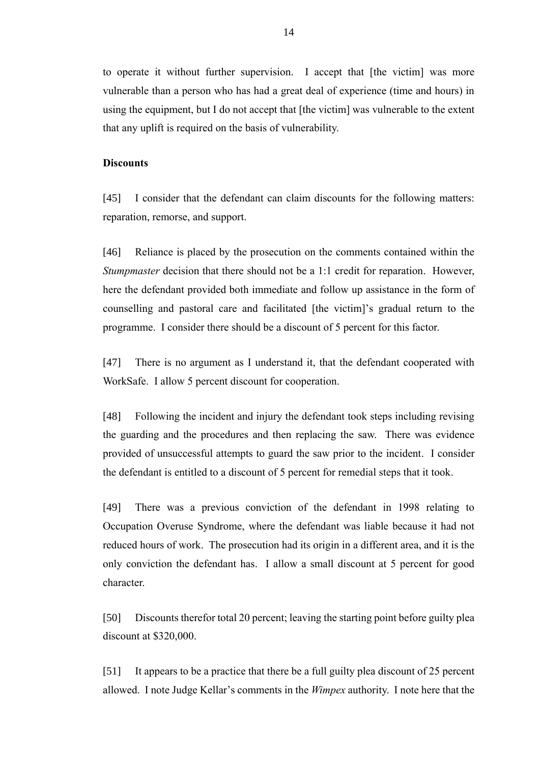to operate it without further supervision. I accept that [the victim] was more vulnerable than a person who has had a great deal of experience (time and hours) in using the equipment, but I do not accept that [the victim] was vulnerable to the extent that any uplift is required on the basis of vulnerability.

## **Discounts**

[45] I consider that the defendant can claim discounts for the following matters: reparation, remorse, and support.

[46] Reliance is placed by the prosecution on the comments contained within the *Stumpmaster* decision that there should not be a 1:1 credit for reparation. However, here the defendant provided both immediate and follow up assistance in the form of counselling and pastoral care and facilitated [the victim]'s gradual return to the programme. I consider there should be a discount of 5 percent for this factor.

[47] There is no argument as I understand it, that the defendant cooperated with WorkSafe. I allow 5 percent discount for cooperation.

[48] Following the incident and injury the defendant took steps including revising the guarding and the procedures and then replacing the saw. There was evidence provided of unsuccessful attempts to guard the saw prior to the incident. I consider the defendant is entitled to a discount of 5 percent for remedial steps that it took.

[49] There was a previous conviction of the defendant in 1998 relating to Occupation Overuse Syndrome, where the defendant was liable because it had not reduced hours of work. The prosecution had its origin in a different area, and it is the only conviction the defendant has. I allow a small discount at 5 percent for good character.

[50] Discounts therefor total 20 percent; leaving the starting point before guilty plea discount at \$320,000.

[51] It appears to be a practice that there be a full guilty plea discount of 25 percent allowed. I note Judge Kellar's comments in the *Wimpex* authority. I note here that the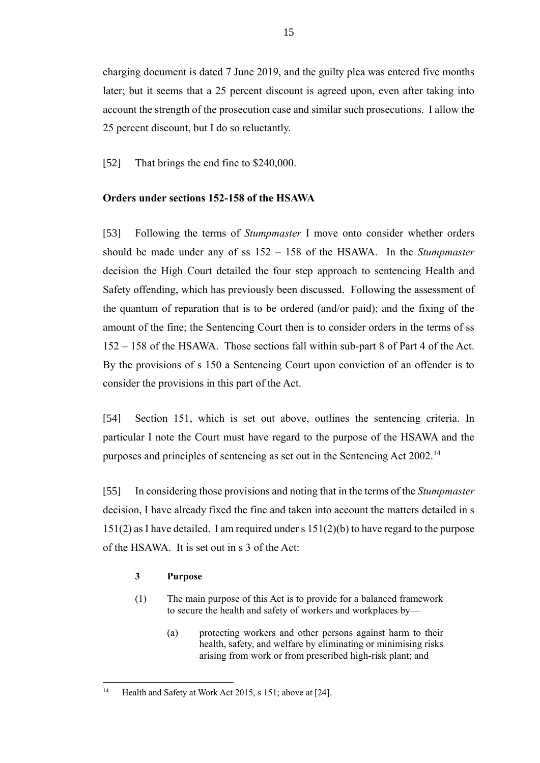charging document is dated 7 June 2019, and the guilty plea was entered five months later; but it seems that a 25 percent discount is agreed upon, even after taking into account the strength of the prosecution case and similar such prosecutions. I allow the 25 percent discount, but I do so reluctantly.

[52] That brings the end fine to \$240,000.

# **Orders under sections 152-158 of the HSAWA**

[53] Following the terms of *Stumpmaster* I move onto consider whether orders should be made under any of ss 152 – 158 of the HSAWA. In the *Stumpmaster* decision the High Court detailed the four step approach to sentencing Health and Safety offending, which has previously been discussed. Following the assessment of the quantum of reparation that is to be ordered (and/or paid); and the fixing of the amount of the fine; the Sentencing Court then is to consider orders in the terms of ss 152 – 158 of the HSAWA. Those sections fall within sub-part 8 of Part 4 of the Act. By the provisions of s 150 a Sentencing Court upon conviction of an offender is to consider the provisions in this part of the Act.

[54] Section 151, which is set out above, outlines the sentencing criteria. In particular I note the Court must have regard to the purpose of the HSAWA and the purposes and principles of sentencing as set out in the Sentencing Act 2002.<sup>14</sup>

[55] In considering those provisions and noting that in the terms of the *Stumpmaster*  decision, I have already fixed the fine and taken into account the matters detailed in s  $151(2)$  as I have detailed. I am required under s  $151(2)(b)$  to have regard to the purpose of the HSAWA. It is set out in s 3 of the Act:

## **3 Purpose**

- (1) The main purpose of this Act is to provide for a balanced framework to secure the health and safety of workers and workplaces by—
	- (a) protecting workers and other persons against harm to their health, safety, and welfare by eliminating or minimising risks arising from work or from prescribed high-risk plant; and

 $\overline{a}$ <sup>14</sup> Health and Safety at Work Act 2015, s 151; above at [24].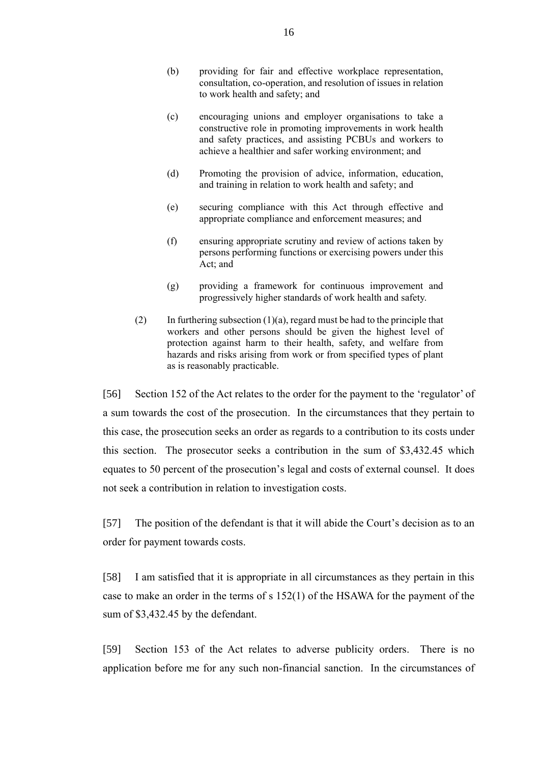- (b) providing for fair and effective workplace representation, consultation, co-operation, and resolution of issues in relation to work health and safety; and
- (c) encouraging unions and employer organisations to take a constructive role in promoting improvements in work health and safety practices, and assisting PCBUs and workers to achieve a healthier and safer working environment; and
- (d) Promoting the provision of advice, information, education, and training in relation to work health and safety; and
- (e) securing compliance with this Act through effective and appropriate compliance and enforcement measures; and
- (f) ensuring appropriate scrutiny and review of actions taken by persons performing functions or exercising powers under this Act; and
- (g) providing a framework for continuous improvement and progressively higher standards of work health and safety.
- (2) In furthering subsection  $(1)(a)$ , regard must be had to the principle that workers and other persons should be given the highest level of protection against harm to their health, safety, and welfare from hazards and risks arising from work or from specified types of plant as is reasonably practicable.

[56] Section 152 of the Act relates to the order for the payment to the 'regulator' of a sum towards the cost of the prosecution. In the circumstances that they pertain to this case, the prosecution seeks an order as regards to a contribution to its costs under this section. The prosecutor seeks a contribution in the sum of \$3,432.45 which equates to 50 percent of the prosecution's legal and costs of external counsel. It does not seek a contribution in relation to investigation costs.

[57] The position of the defendant is that it will abide the Court's decision as to an order for payment towards costs.

[58] I am satisfied that it is appropriate in all circumstances as they pertain in this case to make an order in the terms of s 152(1) of the HSAWA for the payment of the sum of \$3,432.45 by the defendant.

[59] Section 153 of the Act relates to adverse publicity orders. There is no application before me for any such non-financial sanction. In the circumstances of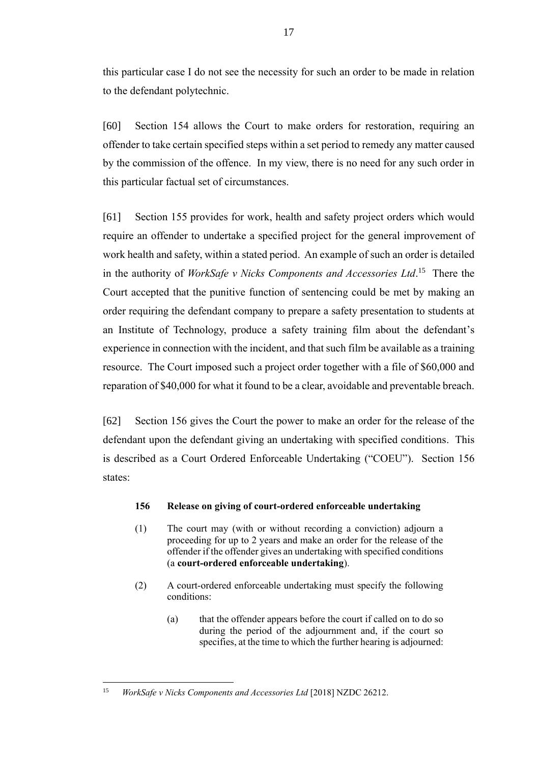this particular case I do not see the necessity for such an order to be made in relation to the defendant polytechnic.

[60] Section 154 allows the Court to make orders for restoration, requiring an offender to take certain specified steps within a set period to remedy any matter caused by the commission of the offence. In my view, there is no need for any such order in this particular factual set of circumstances.

[61] Section 155 provides for work, health and safety project orders which would require an offender to undertake a specified project for the general improvement of work health and safety, within a stated period. An example of such an order is detailed in the authority of *WorkSafe v Nicks Components and Accessories Ltd*. <sup>15</sup> There the Court accepted that the punitive function of sentencing could be met by making an order requiring the defendant company to prepare a safety presentation to students at an Institute of Technology, produce a safety training film about the defendant's experience in connection with the incident, and that such film be available as a training resource. The Court imposed such a project order together with a file of \$60,000 and reparation of \$40,000 for what it found to be a clear, avoidable and preventable breach.

[62] Section 156 gives the Court the power to make an order for the release of the defendant upon the defendant giving an undertaking with specified conditions. This is described as a Court Ordered Enforceable Undertaking ("COEU"). Section 156 states:

## **156 Release on giving of court-ordered enforceable undertaking**

- (1) The court may (with or without recording a conviction) adjourn a proceeding for up to 2 years and make an order for the release of the offender if the offender gives an undertaking with specified conditions (a **court-ordered enforceable undertaking**).
- (2) A court-ordered enforceable undertaking must specify the following conditions:
	- (a) that the offender appears before the court if called on to do so during the period of the adjournment and, if the court so specifies, at the time to which the further hearing is adjourned:

 $\overline{a}$ <sup>15</sup> *WorkSafe v Nicks Components and Accessories Ltd* [2018] NZDC 26212.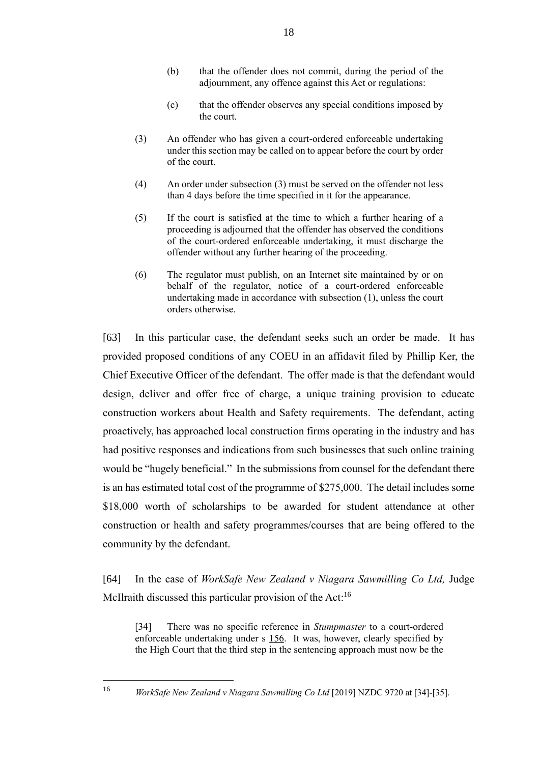- (b) that the offender does not commit, during the period of the adjournment, any offence against this Act or regulations:
- (c) that the offender observes any special conditions imposed by the court.
- (3) An offender who has given a court-ordered enforceable undertaking under this section may be called on to appear before the court by order of the court.
- (4) An order under subsection (3) must be served on the offender not less than 4 days before the time specified in it for the appearance.
- (5) If the court is satisfied at the time to which a further hearing of a proceeding is adjourned that the offender has observed the conditions of the court-ordered enforceable undertaking, it must discharge the offender without any further hearing of the proceeding.
- (6) The regulator must publish, on an Internet site maintained by or on behalf of the regulator, notice of a court-ordered enforceable undertaking made in accordance with subsection (1), unless the court orders otherwise.

[63] In this particular case, the defendant seeks such an order be made. It has provided proposed conditions of any COEU in an affidavit filed by Phillip Ker, the Chief Executive Officer of the defendant. The offer made is that the defendant would design, deliver and offer free of charge, a unique training provision to educate construction workers about Health and Safety requirements. The defendant, acting proactively, has approached local construction firms operating in the industry and has had positive responses and indications from such businesses that such online training would be "hugely beneficial." In the submissions from counsel for the defendant there is an has estimated total cost of the programme of \$275,000. The detail includes some \$18,000 worth of scholarships to be awarded for student attendance at other construction or health and safety programmes/courses that are being offered to the community by the defendant.

[64] In the case of *WorkSafe New Zealand v Niagara Sawmilling Co Ltd,* Judge McIlraith discussed this particular provision of the Act:<sup>16</sup>

[34] There was no specific reference in *Stumpmaster* to a court-ordered enforceable undertaking under s 156. It was, however, clearly specified by the High Court that the third step in the sentencing approach must now be the

<sup>16</sup> *WorkSafe New Zealand v Niagara Sawmilling Co Ltd* [2019] NZDC 9720 at [34]-[35].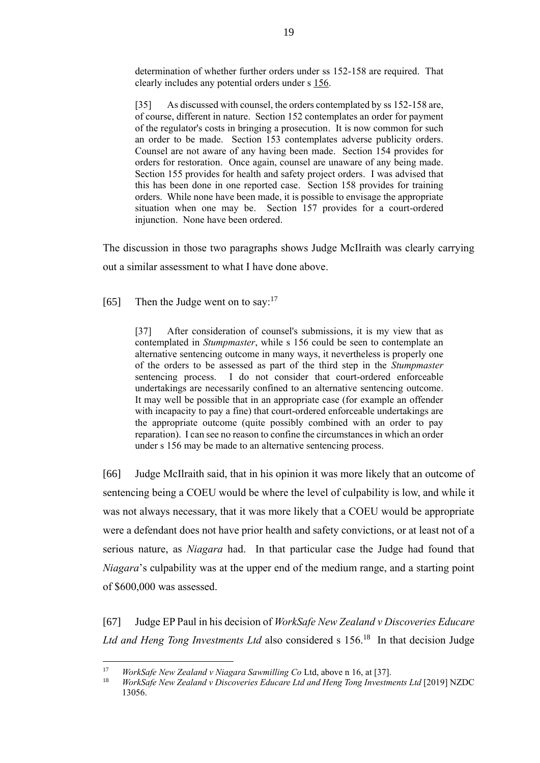determination of whether further orders under ss 152-158 are required. That clearly includes any potential orders under s 156.

[35] As discussed with counsel, the orders contemplated by ss 152-158 are, of course, different in nature. Section 152 contemplates an order for payment of the regulator's costs in bringing a prosecution. It is now common for such an order to be made. Section 153 contemplates adverse publicity orders. Counsel are not aware of any having been made. Section 154 provides for orders for restoration. Once again, counsel are unaware of any being made. Section 155 provides for health and safety project orders. I was advised that this has been done in one reported case. Section 158 provides for training orders. While none have been made, it is possible to envisage the appropriate situation when one may be. Section 157 provides for a court-ordered injunction. None have been ordered.

The discussion in those two paragraphs shows Judge McIlraith was clearly carrying out a similar assessment to what I have done above.

[65] Then the Judge went on to say: $17$ 

[37] After consideration of counsel's submissions, it is my view that as contemplated in *Stumpmaster*, while s 156 could be seen to contemplate an alternative sentencing outcome in many ways, it nevertheless is properly one of the orders to be assessed as part of the third step in the *Stumpmaster* sentencing process. I do not consider that court-ordered enforceable undertakings are necessarily confined to an alternative sentencing outcome. It may well be possible that in an appropriate case (for example an offender with incapacity to pay a fine) that court-ordered enforceable undertakings are the appropriate outcome (quite possibly combined with an order to pay reparation). I can see no reason to confine the circumstances in which an order under s 156 may be made to an alternative sentencing process.

[66] Judge McIlraith said, that in his opinion it was more likely that an outcome of sentencing being a COEU would be where the level of culpability is low, and while it was not always necessary, that it was more likely that a COEU would be appropriate were a defendant does not have prior health and safety convictions, or at least not of a serious nature, as *Niagara* had. In that particular case the Judge had found that *Niagara*'s culpability was at the upper end of the medium range, and a starting point of \$600,000 was assessed.

[67] Judge EP Paul in his decision of *WorkSafe New Zealand v Discoveries Educare*  Ltd and Heng Tong Investments Ltd also considered s 156.<sup>18</sup> In that decision Judge

 $17$ <sup>17</sup> *WorkSafe New Zealand v Niagara Sawmilling Co* Ltd, above n 16, at [37].

<sup>18</sup> *WorkSafe New Zealand v Discoveries Educare Ltd and Heng Tong Investments Ltd* [2019] NZDC 13056.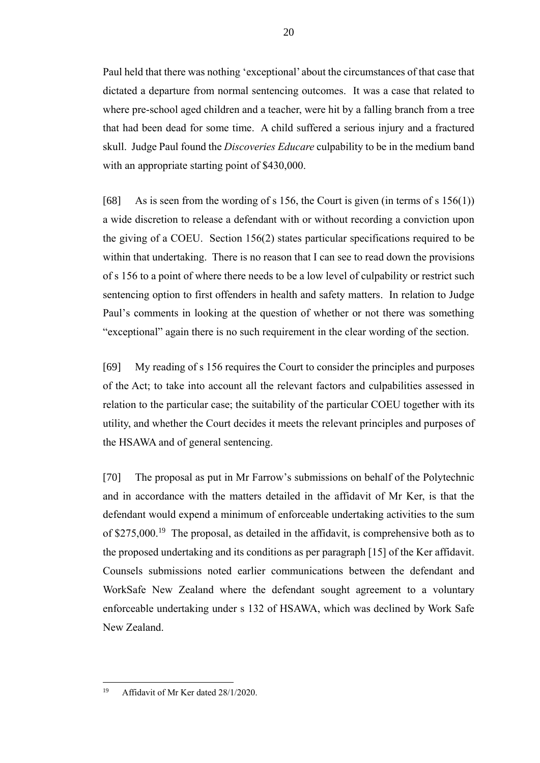Paul held that there was nothing 'exceptional' about the circumstances of that case that dictated a departure from normal sentencing outcomes. It was a case that related to where pre-school aged children and a teacher, were hit by a falling branch from a tree that had been dead for some time. A child suffered a serious injury and a fractured skull. Judge Paul found the *Discoveries Educare* culpability to be in the medium band with an appropriate starting point of \$430,000.

[68] As is seen from the wording of s 156, the Court is given (in terms of s 156(1)) a wide discretion to release a defendant with or without recording a conviction upon the giving of a COEU. Section 156(2) states particular specifications required to be within that undertaking. There is no reason that I can see to read down the provisions of s 156 to a point of where there needs to be a low level of culpability or restrict such sentencing option to first offenders in health and safety matters. In relation to Judge Paul's comments in looking at the question of whether or not there was something "exceptional" again there is no such requirement in the clear wording of the section.

[69] My reading of s 156 requires the Court to consider the principles and purposes of the Act; to take into account all the relevant factors and culpabilities assessed in relation to the particular case; the suitability of the particular COEU together with its utility, and whether the Court decides it meets the relevant principles and purposes of the HSAWA and of general sentencing.

[70] The proposal as put in Mr Farrow's submissions on behalf of the Polytechnic and in accordance with the matters detailed in the affidavit of Mr Ker, is that the defendant would expend a minimum of enforceable undertaking activities to the sum of \$275,000.<sup>19</sup> The proposal, as detailed in the affidavit, is comprehensive both as to the proposed undertaking and its conditions as per paragraph [15] of the Ker affidavit. Counsels submissions noted earlier communications between the defendant and WorkSafe New Zealand where the defendant sought agreement to a voluntary enforceable undertaking under s 132 of HSAWA, which was declined by Work Safe New Zealand.

<sup>19</sup> <sup>19</sup> Affidavit of Mr Ker dated 28/1/2020.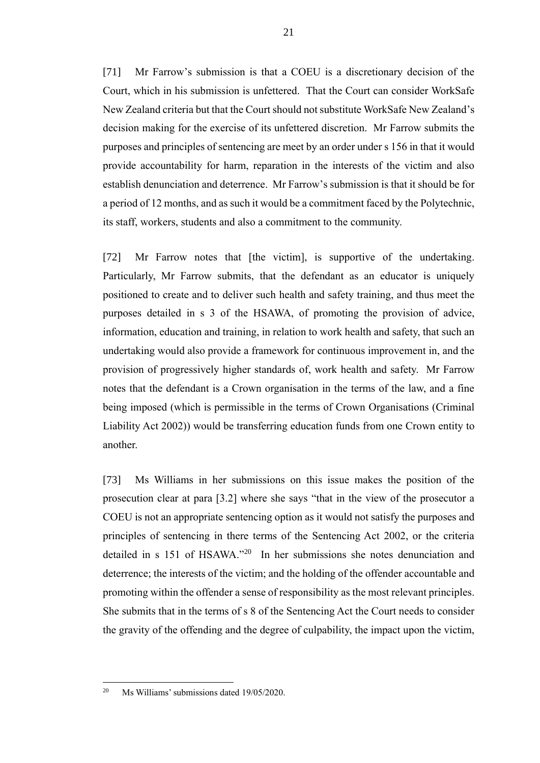[71] Mr Farrow's submission is that a COEU is a discretionary decision of the Court, which in his submission is unfettered. That the Court can consider WorkSafe New Zealand criteria but that the Court should not substitute WorkSafe New Zealand's decision making for the exercise of its unfettered discretion. Mr Farrow submits the purposes and principles of sentencing are meet by an order under s 156 in that it would provide accountability for harm, reparation in the interests of the victim and also establish denunciation and deterrence. Mr Farrow's submission is that it should be for a period of 12 months, and as such it would be a commitment faced by the Polytechnic, its staff, workers, students and also a commitment to the community.

[72] Mr Farrow notes that [the victim], is supportive of the undertaking. Particularly, Mr Farrow submits, that the defendant as an educator is uniquely positioned to create and to deliver such health and safety training, and thus meet the purposes detailed in s 3 of the HSAWA, of promoting the provision of advice, information, education and training, in relation to work health and safety, that such an undertaking would also provide a framework for continuous improvement in, and the provision of progressively higher standards of, work health and safety. Mr Farrow notes that the defendant is a Crown organisation in the terms of the law, and a fine being imposed (which is permissible in the terms of Crown Organisations (Criminal Liability Act 2002)) would be transferring education funds from one Crown entity to another.

[73] Ms Williams in her submissions on this issue makes the position of the prosecution clear at para [3.2] where she says "that in the view of the prosecutor a COEU is not an appropriate sentencing option as it would not satisfy the purposes and principles of sentencing in there terms of the Sentencing Act 2002, or the criteria detailed in s 151 of HSAWA." <sup>20</sup> In her submissions she notes denunciation and deterrence; the interests of the victim; and the holding of the offender accountable and promoting within the offender a sense of responsibility as the most relevant principles. She submits that in the terms of s 8 of the Sentencing Act the Court needs to consider the gravity of the offending and the degree of culpability, the impact upon the victim,

<sup>20</sup> Ms Williams' submissions dated 19/05/2020.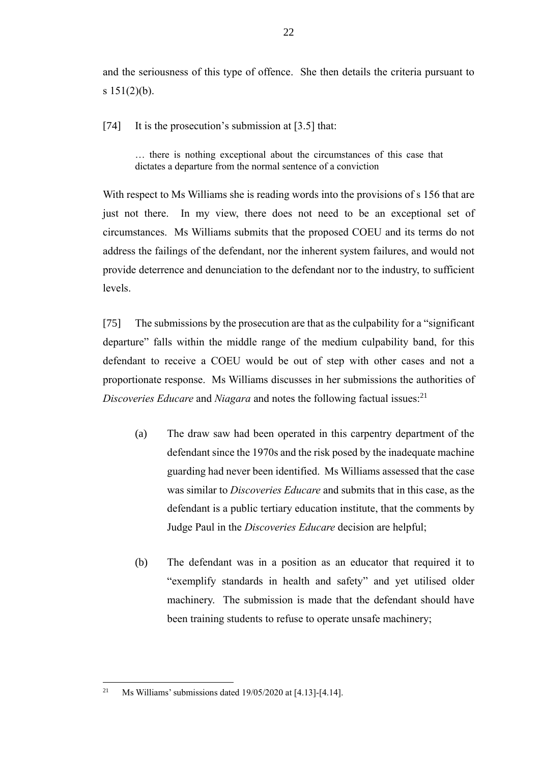and the seriousness of this type of offence. She then details the criteria pursuant to s  $151(2)(b)$ .

[74] It is the prosecution's submission at [3.5] that:

… there is nothing exceptional about the circumstances of this case that dictates a departure from the normal sentence of a conviction

With respect to Ms Williams she is reading words into the provisions of s 156 that are just not there. In my view, there does not need to be an exceptional set of circumstances. Ms Williams submits that the proposed COEU and its terms do not address the failings of the defendant, nor the inherent system failures, and would not provide deterrence and denunciation to the defendant nor to the industry, to sufficient levels.

[75] The submissions by the prosecution are that as the culpability for a "significant departure" falls within the middle range of the medium culpability band, for this defendant to receive a COEU would be out of step with other cases and not a proportionate response. Ms Williams discusses in her submissions the authorities of *Discoveries Educare* and *Niagara* and notes the following factual issues:<sup>21</sup>

- (a) The draw saw had been operated in this carpentry department of the defendant since the 1970s and the risk posed by the inadequate machine guarding had never been identified. Ms Williams assessed that the case was similar to *Discoveries Educare* and submits that in this case, as the defendant is a public tertiary education institute, that the comments by Judge Paul in the *Discoveries Educare* decision are helpful;
- (b) The defendant was in a position as an educator that required it to "exemplify standards in health and safety" and yet utilised older machinery. The submission is made that the defendant should have been training students to refuse to operate unsafe machinery;

<sup>&</sup>lt;sup>21</sup> Ms Williams' submissions dated  $19/05/2020$  at [4.13]-[4.14].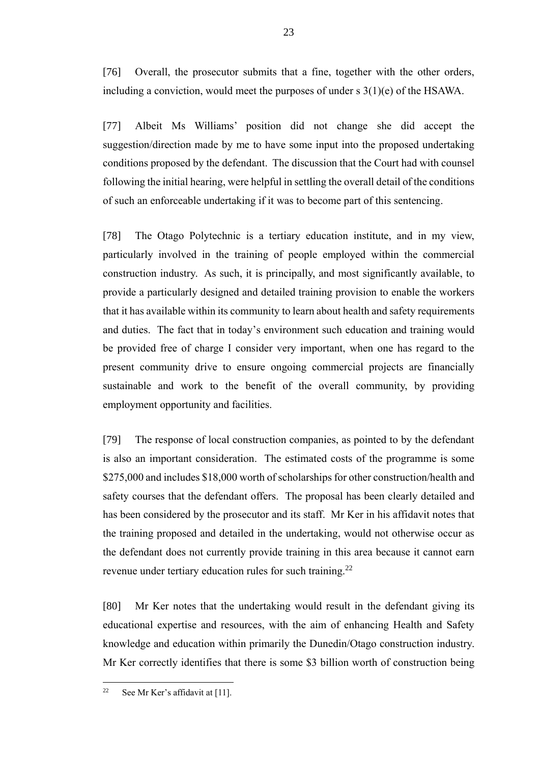[76] Overall, the prosecutor submits that a fine, together with the other orders, including a conviction, would meet the purposes of under s 3(1)(e) of the HSAWA.

[77] Albeit Ms Williams' position did not change she did accept the suggestion/direction made by me to have some input into the proposed undertaking conditions proposed by the defendant. The discussion that the Court had with counsel following the initial hearing, were helpful in settling the overall detail of the conditions of such an enforceable undertaking if it was to become part of this sentencing.

[78] The Otago Polytechnic is a tertiary education institute, and in my view, particularly involved in the training of people employed within the commercial construction industry. As such, it is principally, and most significantly available, to provide a particularly designed and detailed training provision to enable the workers that it has available within its community to learn about health and safety requirements and duties. The fact that in today's environment such education and training would be provided free of charge I consider very important, when one has regard to the present community drive to ensure ongoing commercial projects are financially sustainable and work to the benefit of the overall community, by providing employment opportunity and facilities.

[79] The response of local construction companies, as pointed to by the defendant is also an important consideration. The estimated costs of the programme is some \$275,000 and includes \$18,000 worth of scholarships for other construction/health and safety courses that the defendant offers. The proposal has been clearly detailed and has been considered by the prosecutor and its staff. Mr Ker in his affidavit notes that the training proposed and detailed in the undertaking, would not otherwise occur as the defendant does not currently provide training in this area because it cannot earn revenue under tertiary education rules for such training.<sup>22</sup>

[80] Mr Ker notes that the undertaking would result in the defendant giving its educational expertise and resources, with the aim of enhancing Health and Safety knowledge and education within primarily the Dunedin/Otago construction industry. Mr Ker correctly identifies that there is some \$3 billion worth of construction being

<sup>&</sup>lt;sup>22</sup> See Mr Ker's affidavit at [11].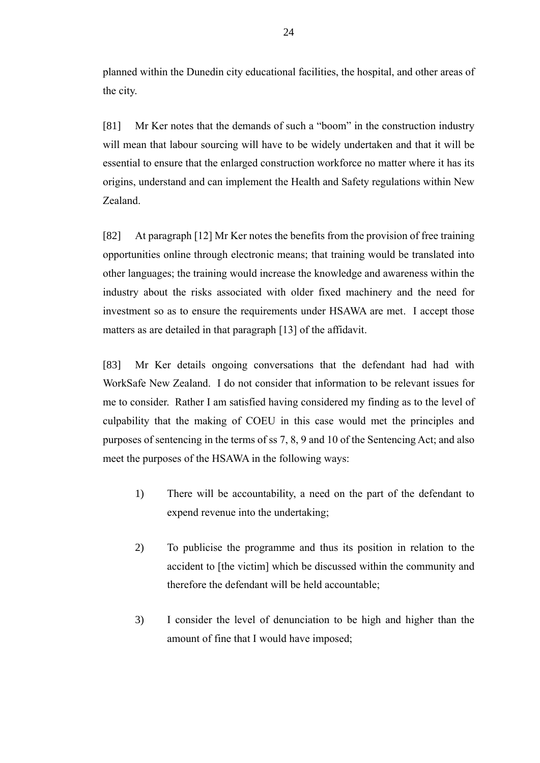planned within the Dunedin city educational facilities, the hospital, and other areas of the city.

[81] Mr Ker notes that the demands of such a "boom" in the construction industry will mean that labour sourcing will have to be widely undertaken and that it will be essential to ensure that the enlarged construction workforce no matter where it has its origins, understand and can implement the Health and Safety regulations within New Zealand.

[82] At paragraph [12] Mr Ker notes the benefits from the provision of free training opportunities online through electronic means; that training would be translated into other languages; the training would increase the knowledge and awareness within the industry about the risks associated with older fixed machinery and the need for investment so as to ensure the requirements under HSAWA are met. I accept those matters as are detailed in that paragraph [13] of the affidavit.

[83] Mr Ker details ongoing conversations that the defendant had had with WorkSafe New Zealand. I do not consider that information to be relevant issues for me to consider. Rather I am satisfied having considered my finding as to the level of culpability that the making of COEU in this case would met the principles and purposes of sentencing in the terms of ss 7, 8, 9 and 10 of the Sentencing Act; and also meet the purposes of the HSAWA in the following ways:

- 1) There will be accountability, a need on the part of the defendant to expend revenue into the undertaking;
- 2) To publicise the programme and thus its position in relation to the accident to [the victim] which be discussed within the community and therefore the defendant will be held accountable;
- 3) I consider the level of denunciation to be high and higher than the amount of fine that I would have imposed;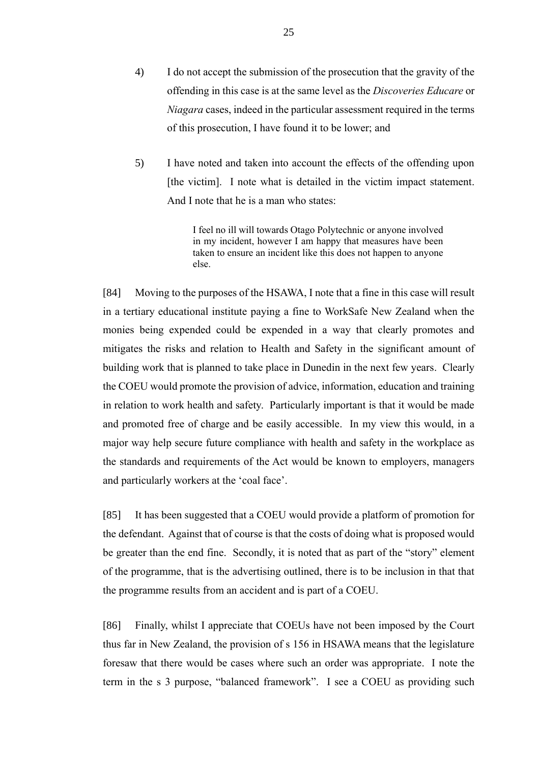- 4) I do not accept the submission of the prosecution that the gravity of the offending in this case is at the same level as the *Discoveries Educare* or *Niagara* cases, indeed in the particular assessment required in the terms of this prosecution, I have found it to be lower; and
- 5) I have noted and taken into account the effects of the offending upon [the victim]. I note what is detailed in the victim impact statement. And I note that he is a man who states:

I feel no ill will towards Otago Polytechnic or anyone involved in my incident, however I am happy that measures have been taken to ensure an incident like this does not happen to anyone else.

[84] Moving to the purposes of the HSAWA, I note that a fine in this case will result in a tertiary educational institute paying a fine to WorkSafe New Zealand when the monies being expended could be expended in a way that clearly promotes and mitigates the risks and relation to Health and Safety in the significant amount of building work that is planned to take place in Dunedin in the next few years. Clearly the COEU would promote the provision of advice, information, education and training in relation to work health and safety. Particularly important is that it would be made and promoted free of charge and be easily accessible. In my view this would, in a major way help secure future compliance with health and safety in the workplace as the standards and requirements of the Act would be known to employers, managers and particularly workers at the 'coal face'.

[85] It has been suggested that a COEU would provide a platform of promotion for the defendant. Against that of course is that the costs of doing what is proposed would be greater than the end fine. Secondly, it is noted that as part of the "story" element of the programme, that is the advertising outlined, there is to be inclusion in that that the programme results from an accident and is part of a COEU.

[86] Finally, whilst I appreciate that COEUs have not been imposed by the Court thus far in New Zealand, the provision of s 156 in HSAWA means that the legislature foresaw that there would be cases where such an order was appropriate. I note the term in the s 3 purpose, "balanced framework". I see a COEU as providing such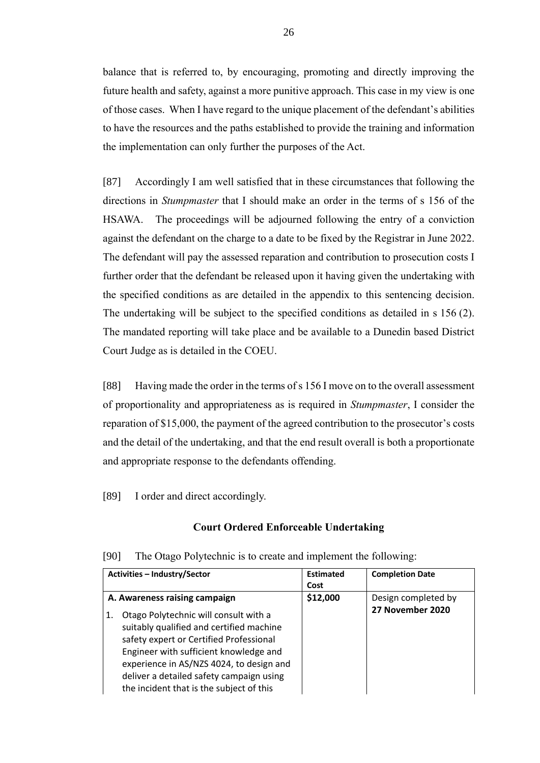balance that is referred to, by encouraging, promoting and directly improving the future health and safety, against a more punitive approach. This case in my view is one of those cases. When I have regard to the unique placement of the defendant's abilities to have the resources and the paths established to provide the training and information the implementation can only further the purposes of the Act.

[87] Accordingly I am well satisfied that in these circumstances that following the directions in *Stumpmaster* that I should make an order in the terms of s 156 of the HSAWA. The proceedings will be adjourned following the entry of a conviction against the defendant on the charge to a date to be fixed by the Registrar in June 2022. The defendant will pay the assessed reparation and contribution to prosecution costs I further order that the defendant be released upon it having given the undertaking with the specified conditions as are detailed in the appendix to this sentencing decision. The undertaking will be subject to the specified conditions as detailed in s 156 (2). The mandated reporting will take place and be available to a Dunedin based District Court Judge as is detailed in the COEU.

[88] Having made the order in the terms of s 156 I move on to the overall assessment of proportionality and appropriateness as is required in *Stumpmaster*, I consider the reparation of \$15,000, the payment of the agreed contribution to the prosecutor's costs and the detail of the undertaking, and that the end result overall is both a proportionate and appropriate response to the defendants offending.

[89] I order and direct accordingly.

#### **Court Ordered Enforceable Undertaking**

| <b>Activities - Industry/Sector</b>                                                                                                                                                                                                                                                                                                               | <b>Estimated</b><br>Cost | <b>Completion Date</b>                  |
|---------------------------------------------------------------------------------------------------------------------------------------------------------------------------------------------------------------------------------------------------------------------------------------------------------------------------------------------------|--------------------------|-----------------------------------------|
| A. Awareness raising campaign<br>Otago Polytechnic will consult with a<br>1.<br>suitably qualified and certified machine<br>safety expert or Certified Professional<br>Engineer with sufficient knowledge and<br>experience in AS/NZS 4024, to design and<br>deliver a detailed safety campaign using<br>the incident that is the subject of this | \$12,000                 | Design completed by<br>27 November 2020 |

[90] The Otago Polytechnic is to create and implement the following: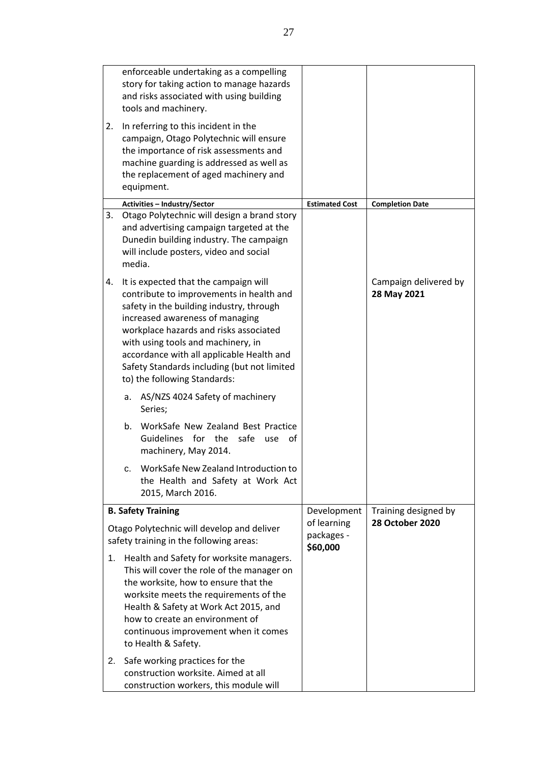|                                                                                       | enforceable undertaking as a compelling<br>story for taking action to manage hazards<br>and risks associated with using building<br>tools and machinery.                                                                                                                                                                                                                     |                                       |                                      |
|---------------------------------------------------------------------------------------|------------------------------------------------------------------------------------------------------------------------------------------------------------------------------------------------------------------------------------------------------------------------------------------------------------------------------------------------------------------------------|---------------------------------------|--------------------------------------|
| 2.                                                                                    | In referring to this incident in the<br>campaign, Otago Polytechnic will ensure<br>the importance of risk assessments and<br>machine guarding is addressed as well as<br>the replacement of aged machinery and<br>equipment.                                                                                                                                                 |                                       |                                      |
|                                                                                       | Activities - Industry/Sector                                                                                                                                                                                                                                                                                                                                                 | <b>Estimated Cost</b>                 | <b>Completion Date</b>               |
| 3.                                                                                    | Otago Polytechnic will design a brand story<br>and advertising campaign targeted at the<br>Dunedin building industry. The campaign<br>will include posters, video and social<br>media.                                                                                                                                                                                       |                                       |                                      |
| 4.                                                                                    | It is expected that the campaign will<br>contribute to improvements in health and<br>safety in the building industry, through<br>increased awareness of managing<br>workplace hazards and risks associated<br>with using tools and machinery, in<br>accordance with all applicable Health and<br>Safety Standards including (but not limited<br>to) the following Standards: |                                       | Campaign delivered by<br>28 May 2021 |
|                                                                                       | AS/NZS 4024 Safety of machinery<br>a.<br>Series;                                                                                                                                                                                                                                                                                                                             |                                       |                                      |
|                                                                                       | b.<br>WorkSafe New Zealand Best Practice<br>Guidelines for the safe<br>of<br>use<br>machinery, May 2014.                                                                                                                                                                                                                                                                     |                                       |                                      |
|                                                                                       | c. WorkSafe New Zealand Introduction to<br>the Health and Safety at Work Act<br>2015, March 2016.                                                                                                                                                                                                                                                                            |                                       |                                      |
|                                                                                       | <b>B. Safety Training</b>                                                                                                                                                                                                                                                                                                                                                    | Development                           | Training designed by                 |
| Otago Polytechnic will develop and deliver<br>safety training in the following areas: |                                                                                                                                                                                                                                                                                                                                                                              | of learning<br>packages -<br>\$60,000 | <b>28 October 2020</b>               |
| 1.                                                                                    | Health and Safety for worksite managers.<br>This will cover the role of the manager on<br>the worksite, how to ensure that the<br>worksite meets the requirements of the<br>Health & Safety at Work Act 2015, and<br>how to create an environment of<br>continuous improvement when it comes<br>to Health & Safety.                                                          |                                       |                                      |
| 2.                                                                                    | Safe working practices for the<br>construction worksite. Aimed at all<br>construction workers, this module will                                                                                                                                                                                                                                                              |                                       |                                      |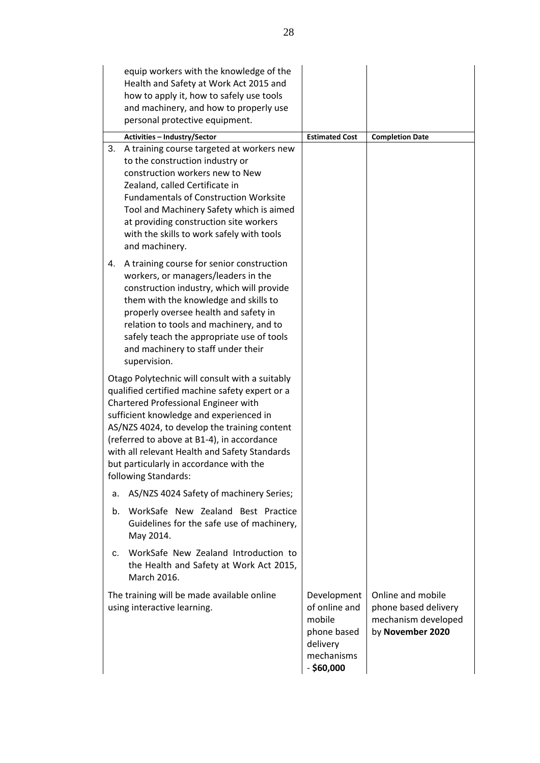|    | equip workers with the knowledge of the<br>Health and Safety at Work Act 2015 and<br>how to apply it, how to safely use tools<br>and machinery, and how to properly use<br>personal protective equipment.                                                                                                                                                                                             |                                                                                                 |                                                                                      |
|----|-------------------------------------------------------------------------------------------------------------------------------------------------------------------------------------------------------------------------------------------------------------------------------------------------------------------------------------------------------------------------------------------------------|-------------------------------------------------------------------------------------------------|--------------------------------------------------------------------------------------|
|    | <b>Activities - Industry/Sector</b>                                                                                                                                                                                                                                                                                                                                                                   | <b>Estimated Cost</b>                                                                           | <b>Completion Date</b>                                                               |
| 3. | A training course targeted at workers new<br>to the construction industry or<br>construction workers new to New<br>Zealand, called Certificate in<br><b>Fundamentals of Construction Worksite</b><br>Tool and Machinery Safety which is aimed<br>at providing construction site workers<br>with the skills to work safely with tools<br>and machinery.                                                |                                                                                                 |                                                                                      |
| 4. | A training course for senior construction<br>workers, or managers/leaders in the<br>construction industry, which will provide<br>them with the knowledge and skills to<br>properly oversee health and safety in<br>relation to tools and machinery, and to<br>safely teach the appropriate use of tools<br>and machinery to staff under their<br>supervision.                                         |                                                                                                 |                                                                                      |
|    | Otago Polytechnic will consult with a suitably<br>qualified certified machine safety expert or a<br>Chartered Professional Engineer with<br>sufficient knowledge and experienced in<br>AS/NZS 4024, to develop the training content<br>(referred to above at B1-4), in accordance<br>with all relevant Health and Safety Standards<br>but particularly in accordance with the<br>following Standards: |                                                                                                 |                                                                                      |
| a. | AS/NZS 4024 Safety of machinery Series;                                                                                                                                                                                                                                                                                                                                                               |                                                                                                 |                                                                                      |
| b. | WorkSafe New Zealand Best Practice<br>Guidelines for the safe use of machinery,<br>May 2014.                                                                                                                                                                                                                                                                                                          |                                                                                                 |                                                                                      |
| c. | WorkSafe New Zealand Introduction to<br>the Health and Safety at Work Act 2015,<br>March 2016.                                                                                                                                                                                                                                                                                                        |                                                                                                 |                                                                                      |
|    | The training will be made available online<br>using interactive learning.                                                                                                                                                                                                                                                                                                                             | Development<br>of online and<br>mobile<br>phone based<br>delivery<br>mechanisms<br>$-$ \$60,000 | Online and mobile<br>phone based delivery<br>mechanism developed<br>by November 2020 |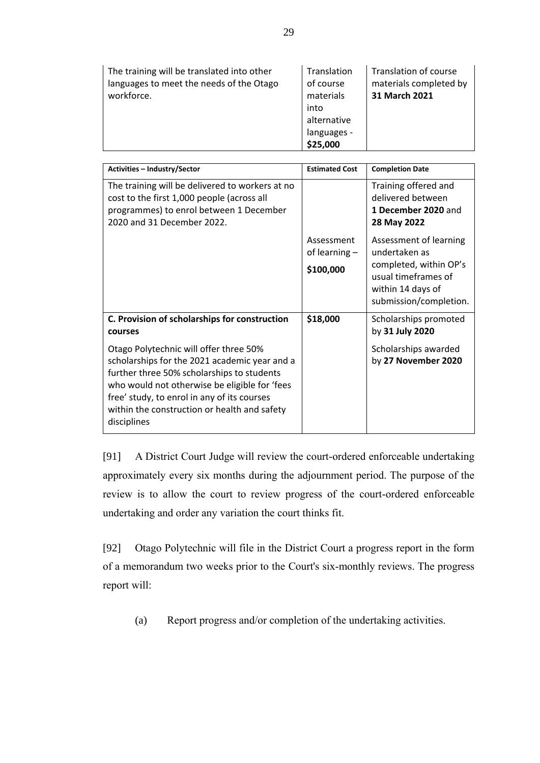| The training will be translated into other<br>languages to meet the needs of the Otago<br>workforce. | Translation<br>of course<br>materials<br>into<br>alternative<br>languages -<br>\$25,000 | Translation of course<br>materials completed by<br>31 March 2021 |
|------------------------------------------------------------------------------------------------------|-----------------------------------------------------------------------------------------|------------------------------------------------------------------|
|------------------------------------------------------------------------------------------------------|-----------------------------------------------------------------------------------------|------------------------------------------------------------------|

| <b>Activities - Industry/Sector</b>                                                                                                                                                                                                                                                                  | <b>Estimated Cost</b>                                                    | <b>Completion Date</b>                                                                       |  |
|------------------------------------------------------------------------------------------------------------------------------------------------------------------------------------------------------------------------------------------------------------------------------------------------------|--------------------------------------------------------------------------|----------------------------------------------------------------------------------------------|--|
| The training will be delivered to workers at no<br>cost to the first 1,000 people (across all<br>programmes) to enrol between 1 December<br>2020 and 31 December 2022.                                                                                                                               |                                                                          | Training offered and<br>delivered between<br>1 December 2020 and<br>28 May 2022              |  |
|                                                                                                                                                                                                                                                                                                      | Assessment<br>Assessment of learning<br>undertaken as<br>of learning $-$ |                                                                                              |  |
|                                                                                                                                                                                                                                                                                                      | \$100,000                                                                | completed, within OP's<br>usual timeframes of<br>within 14 days of<br>submission/completion. |  |
| C. Provision of scholarships for construction<br>courses                                                                                                                                                                                                                                             | \$18,000                                                                 | Scholarships promoted<br>by 31 July 2020                                                     |  |
| Otago Polytechnic will offer three 50%<br>scholarships for the 2021 academic year and a<br>further three 50% scholarships to students<br>who would not otherwise be eligible for 'fees<br>free' study, to enrol in any of its courses<br>within the construction or health and safety<br>disciplines |                                                                          | Scholarships awarded<br>by 27 November 2020                                                  |  |

[91] A District Court Judge will review the court-ordered enforceable undertaking approximately every six months during the adjournment period. The purpose of the review is to allow the court to review progress of the court-ordered enforceable undertaking and order any variation the court thinks fit.

[92] Otago Polytechnic will file in the District Court a progress report in the form of a memorandum two weeks prior to the Court's six-monthly reviews. The progress report will:

(a) Report progress and/or completion of the undertaking activities.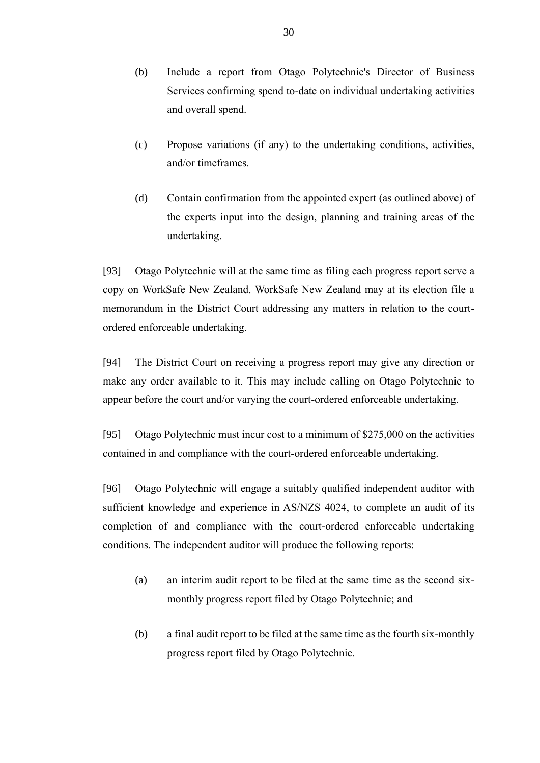- (b) Include a report from Otago Polytechnic's Director of Business Services confirming spend to-date on individual undertaking activities and overall spend.
- (c) Propose variations (if any) to the undertaking conditions, activities, and/or timeframes.
- (d) Contain confirmation from the appointed expert (as outlined above) of the experts input into the design, planning and training areas of the undertaking.

[93] Otago Polytechnic will at the same time as filing each progress report serve a copy on WorkSafe New Zealand. WorkSafe New Zealand may at its election file a memorandum in the District Court addressing any matters in relation to the courtordered enforceable undertaking.

[94] The District Court on receiving a progress report may give any direction or make any order available to it. This may include calling on Otago Polytechnic to appear before the court and/or varying the court-ordered enforceable undertaking.

[95] Otago Polytechnic must incur cost to a minimum of \$275,000 on the activities contained in and compliance with the court-ordered enforceable undertaking.

[96] Otago Polytechnic will engage a suitably qualified independent auditor with sufficient knowledge and experience in AS/NZS 4024, to complete an audit of its completion of and compliance with the court-ordered enforceable undertaking conditions. The independent auditor will produce the following reports:

- (a) an interim audit report to be filed at the same time as the second sixmonthly progress report filed by Otago Polytechnic; and
- (b) a final audit report to be filed at the same time as the fourth six-monthly progress report filed by Otago Polytechnic.